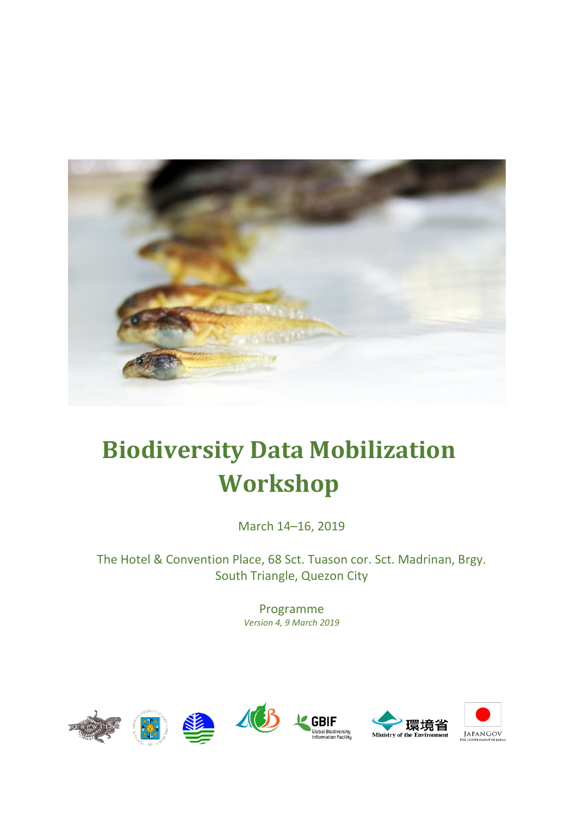

# **Biodiversity Data Mobilization Workshop**

March 14–16, 2019

The Hotel & Convention Place, 68 Sct. Tuason cor. Sct. Madrinan, Brgy. South Triangle, Quezon City

> Programme *Version 4, 9 March 2019*

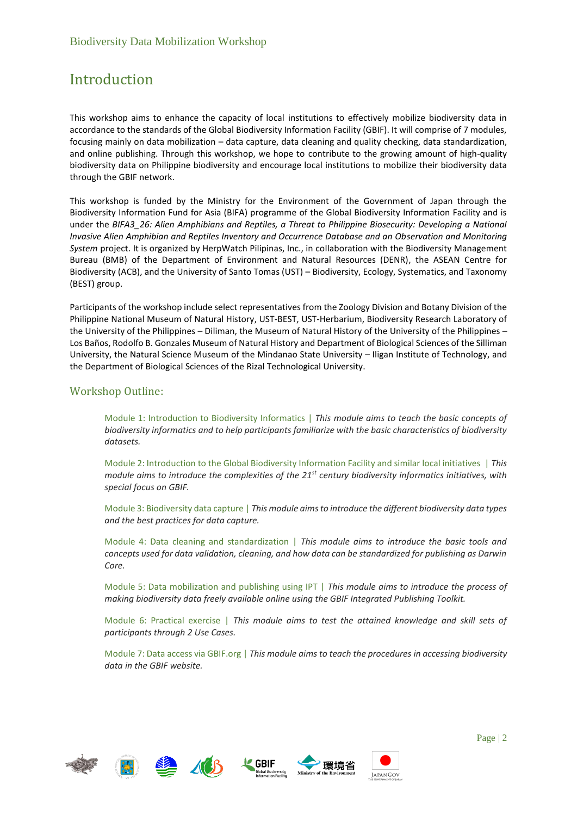# Introduction

This workshop aims to enhance the capacity of local institutions to effectively mobilize biodiversity data in accordance to the standards of the Global Biodiversity Information Facility (GBIF). It will comprise of 7 modules, focusing mainly on data mobilization – data capture, data cleaning and quality checking, data standardization, and online publishing. Through this workshop, we hope to contribute to the growing amount of high-quality biodiversity data on Philippine biodiversity and encourage local institutions to mobilize their biodiversity data through the GBIF network.

This workshop is funded by the Ministry for the Environment of the Government of Japan through the Biodiversity Information Fund for Asia (BIFA) programme of the Global Biodiversity Information Facility and is under the *BIFA3\_26: Alien Amphibians and Reptiles, a Threat to Philippine Biosecurity: Developing a National Invasive Alien Amphibian and Reptiles Inventory and Occurrence Database and an Observation and Monitoring System* project. It is organized by HerpWatch Pilipinas, Inc., in collaboration with the Biodiversity Management Bureau (BMB) of the Department of Environment and Natural Resources (DENR), the ASEAN Centre for Biodiversity (ACB), and the University of Santo Tomas (UST) – Biodiversity, Ecology, Systematics, and Taxonomy (BEST) group.

Participants of the workshop include select representatives from the Zoology Division and Botany Division of the Philippine National Museum of Natural History, UST-BEST, UST-Herbarium, Biodiversity Research Laboratory of the University of the Philippines – Diliman, the Museum of Natural History of the University of the Philippines – Los Baños, Rodolfo B. Gonzales Museum of Natural History and Department of Biological Sciences of the Silliman University, the Natural Science Museum of the Mindanao State University – Iligan Institute of Technology, and the Department of Biological Sciences of the Rizal Technological University.

### Workshop Outline:

Module 1: Introduction to Biodiversity Informatics | *This module aims to teach the basic concepts of biodiversity informatics and to help participants familiarize with the basic characteristics of biodiversity datasets.*

Module 2: Introduction to the Global Biodiversity Information Facility and similar local initiatives | *This module aims to introduce the complexities of the 21st century biodiversity informatics initiatives, with special focus on GBIF.*

Module 3: Biodiversity data capture | *This module aims to introduce the different biodiversity data types and the best practices for data capture.*

Module 4: Data cleaning and standardization | *This module aims to introduce the basic tools and concepts used for data validation, cleaning, and how data can be standardized for publishing as Darwin Core.*

Module 5: Data mobilization and publishing using IPT | *This module aims to introduce the process of making biodiversity data freely available online using the GBIF Integrated Publishing Toolkit.*

Module 6: Practical exercise | *This module aims to test the attained knowledge and skill sets of participants through 2 Use Cases.*

Module 7: Data access via GBIF.org | *This module aims to teach the procedures in accessing biodiversity data in the GBIF website.*









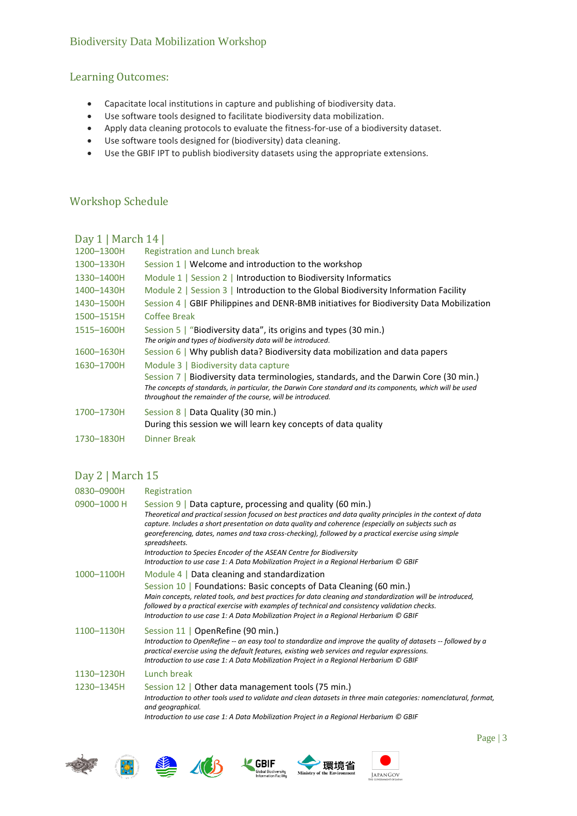# Biodiversity Data Mobilization Workshop

## Learning Outcomes:

- Capacitate local institutions in capture and publishing of biodiversity data.
- Use software tools designed to facilitate biodiversity data mobilization.
- Apply data cleaning protocols to evaluate the fitness-for-use of a biodiversity dataset.
- Use software tools designed for (biodiversity) data cleaning.
- Use the GBIF IPT to publish biodiversity datasets using the appropriate extensions.

### Workshop Schedule

# Day 1 | March 14 |

| 1200-1300H | Registration and Lunch break                                                                                                                                                                                                                                      |
|------------|-------------------------------------------------------------------------------------------------------------------------------------------------------------------------------------------------------------------------------------------------------------------|
| 1300-1330H | Session $1 \mid$ Welcome and introduction to the workshop                                                                                                                                                                                                         |
| 1330-1400H | Module $1$   Session $2$   Introduction to Biodiversity Informatics                                                                                                                                                                                               |
| 1400-1430H | Module 2   Session 3   Introduction to the Global Biodiversity Information Facility                                                                                                                                                                               |
| 1430-1500H | Session $4 \mid$ GBIF Philippines and DENR-BMB initiatives for Biodiversity Data Mobilization                                                                                                                                                                     |
| 1500-1515H | Coffee Break                                                                                                                                                                                                                                                      |
| 1515-1600H | Session 5   "Biodiversity data", its origins and types (30 min.)<br>The origin and types of biodiversity data will be introduced.                                                                                                                                 |
|            |                                                                                                                                                                                                                                                                   |
| 1600-1630H | Session 6   Why publish data? Biodiversity data mobilization and data papers                                                                                                                                                                                      |
| 1630-1700H | Module 3   Biodiversity data capture                                                                                                                                                                                                                              |
|            | Session 7   Biodiversity data terminologies, standards, and the Darwin Core (30 min.)<br>The concepts of standards, in particular, the Darwin Core standard and its components, which will be used<br>throughout the remainder of the course, will be introduced. |
| 1700-1730H | Session 8   Data Quality (30 min.)<br>During this session we will learn key concepts of data quality                                                                                                                                                              |
| 1730-1830H | Dinner Break                                                                                                                                                                                                                                                      |

### Day 2 | March 15

| Registration                                                                                                                                                                                                                                                                                                                                                                                                                                                                                                                                                                    |
|---------------------------------------------------------------------------------------------------------------------------------------------------------------------------------------------------------------------------------------------------------------------------------------------------------------------------------------------------------------------------------------------------------------------------------------------------------------------------------------------------------------------------------------------------------------------------------|
| Session 9   Data capture, processing and quality (60 min.)<br>Theoretical and practical session focused on best practices and data quality principles in the context of data<br>capture. Includes a short presentation on data quality and coherence (especially on subjects such as<br>georeferencing, dates, names and taxa cross-checking), followed by a practical exercise using simple<br>spreadsheets.<br>Introduction to Species Encoder of the ASEAN Centre for Biodiversity<br>Introduction to use case 1: A Data Mobilization Project in a Regional Herbarium © GBIF |
| Module 4   Data cleaning and standardization<br>Session 10   Foundations: Basic concepts of Data Cleaning (60 min.)<br>Main concepts, related tools, and best practices for data cleaning and standardization will be introduced,<br>followed by a practical exercise with examples of technical and consistency validation checks.<br>Introduction to use case 1: A Data Mobilization Project in a Regional Herbarium © GBIF                                                                                                                                                   |
| Session 11   OpenRefine (90 min.)<br>Introduction to OpenRefine -- an easy tool to standardize and improve the quality of datasets -- followed by a<br>practical exercise using the default features, existing web services and reqular expressions.<br>Introduction to use case 1: A Data Mobilization Project in a Regional Herbarium © GBIF                                                                                                                                                                                                                                  |
| Lunch break                                                                                                                                                                                                                                                                                                                                                                                                                                                                                                                                                                     |
| Session 12   Other data management tools (75 min.)<br>Introduction to other tools used to validate and clean datasets in three main categories: nomenclatural, format,<br>and geographical.<br>Introduction to use case 1: A Data Mobilization Project in a Regional Herbarium © GBIF                                                                                                                                                                                                                                                                                           |
|                                                                                                                                                                                                                                                                                                                                                                                                                                                                                                                                                                                 |









JAPANGOV